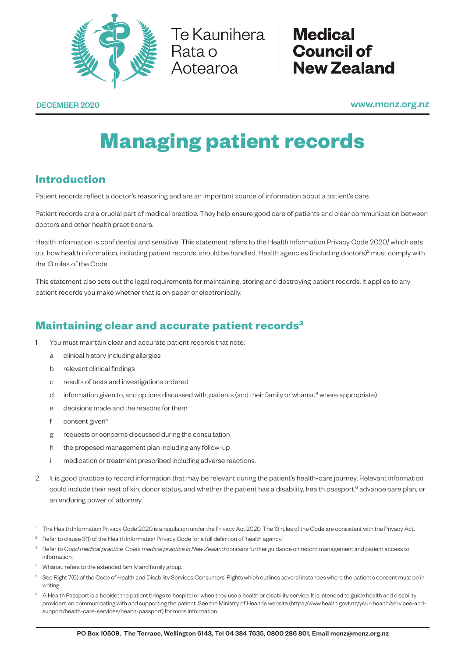

Te Kaunihera | Rata o<br>Aotearoa

**Medical Council of New Zealand** 

DECEMBER 2020 www.mcnz.org.nz

# **Managing patient records**

# **Introduction**

Patient records reflect a doctor's reasoning and are an important source of information about a patient's care.

Patient records are a crucial part of medical practice. They help ensure good care of patients and clear communication between doctors and other health practitioners.

Health information is confidential and sensitive. This statement refers to the Health Information Privacy Code 2020,<sup>1</sup> which sets out how health information, including patient records, should be handled. Health agencies (including doctors)<sup>2</sup> must comply with the 13 rules of the Code.

This statement also sets out the legal requirements for maintaining, storing and destroying patient records. It applies to any patient records you make whether that is on paper or electronically.

## **Maintaining clear and accurate patient records3**

- 1 You must maintain clear and accurate patient records that note:
	- a clinical history including allergies
	- b relevant clinical findings
	- c results of tests and investigations ordered
	- d information given to, and options discussed with, patients (and their family or whānau<sup>4</sup> where appropriate)
	- e decisions made and the reasons for them
	- f consent given<sup>5</sup>
	- g requests or concerns discussed during the consultation
	- h the proposed management plan including any follow-up
	- i medication or treatment prescribed including adverse reactions.
- 2 It is good practice to record information that may be relevant during the patient's health-care journey. Relevant information could include their next of kin, donor status, and whether the patient has a disability, health passport,  $6$  advance care plan, or an enduring power of attorney.
- The Health Information Privacy Code 2020 is a regulation under the Privacy Act 2020. The 13 rules of the Code are consistent with the Privacy Act.
- <sup>2</sup> Refer to clause 3(1) of the Health Information Privacy Code for a full definition of 'health agency'.
- 3 Refer to *Good medical practice. Cole's medical practice in New Zealand* contains further guidance on record management and patient access to information.
- <sup>4</sup> Whānau refers to the extended family and family group.
- <sup>5</sup> See Right 7(6) of the Code of Health and Disability Services Consumers' Rights which outlines several instances where the patient's consent must be in writing.
- A Health Passport is a booklet the patient brings to hospital or when they use a health or disability service. It is intended to guide health and disability providers on communicating with and supporting the patient. See the Ministry of Health's website (https://www.health.govt.nz/your-health/services-andsupport/health-care-services/health-passport) for more information.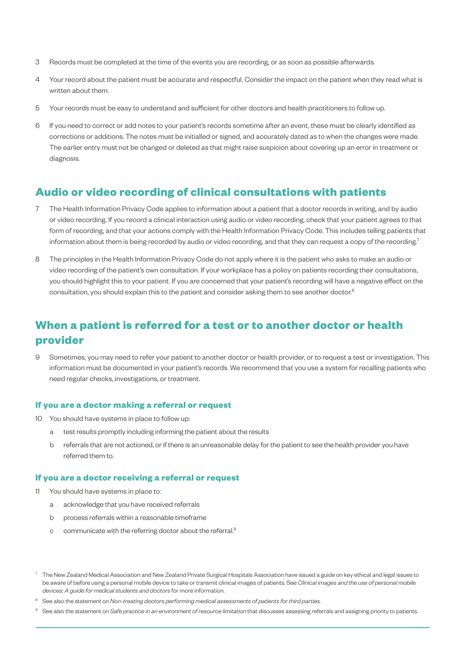- 3 Records must be completed at the time of the events you are recording, or as soon as possible afterwards.
- 4 Your record about the patient must be accurate and respectful. Consider the impact on the patient when they read what is written about them.
- 5 Your records must be easy to understand and sufficient for other doctors and health practitioners to follow up.
- 6 If you need to correct or add notes to your patient's records sometime after an event, these must be clearly identified as corrections or additions. The notes must be initialled or signed, and accurately dated as to when the changes were made. The earlier entry must not be changed or deleted as that might raise suspicion about covering up an error in treatment or diagnosis.

## **Audio or video recording of clinical consultations with patients**

- 7 The Health Information Privacy Code applies to information about a patient that a doctor records in writing, and by audio or video recording. If you record a clinical interaction using audio or video recording, check that your patient agrees to that form of recording, and that your actions comply with the Health Information Privacy Code. This includes telling patients that information about them is being recorded by audio or video recording, and that they can request a copy of the recording.<sup>7</sup>
- 8 The principles in the Health Information Privacy Code do not apply where it is the patient who asks to make an audio or video recording of the patient's own consultation. If your workplace has a policy on patients recording their consultations, you should highlight this to your patient. If you are concerned that your patient's recording will have a negative effect on the consultation, you should explain this to the patient and consider asking them to see another doctor.<sup>8</sup>

## **When a patient is referred for a test or to another doctor or health provider**

9 Sometimes, you may need to refer your patient to another doctor or health provider, or to request a test or investigation. This information must be documented in your patient's records. We recommend that you use a system for recalling patients who need regular checks, investigations, or treatment.

## **If you are a doctor making a referral or request**

- 10 You should have systems in place to follow up:
	- a test results promptly including informing the patient about the results
	- b referrals that are not actioned, or if there is an unreasonable delay for the patient to see the health provider you have referred them to.

### **If you are a doctor receiving a referral or request**

- 11 You should have systems in place to:
	- a acknowledge that you have received referrals
	- b process referrals within a reasonable timeframe
	- c communicate with the referring doctor about the referral.<sup>9</sup>
- $7$  The New Zealand Medical Association and New Zealand Private Surgical Hospitals Association have issued a guide on key ethical and legal issues to be aware of before using a personal mobile device to take or transmit clinical images of patients. See *Clinical images and the use of personal mobile devices: A guide for medical students and doctors* for more information.
- <sup>8</sup> See also the statement on *Non-treating doctors performing medical assessments of patients for third parties.*
- <sup>9</sup> See also the statement on *Safe practice in an environment of resource limitation* that discusses assessing referrals and assigning priority to patients.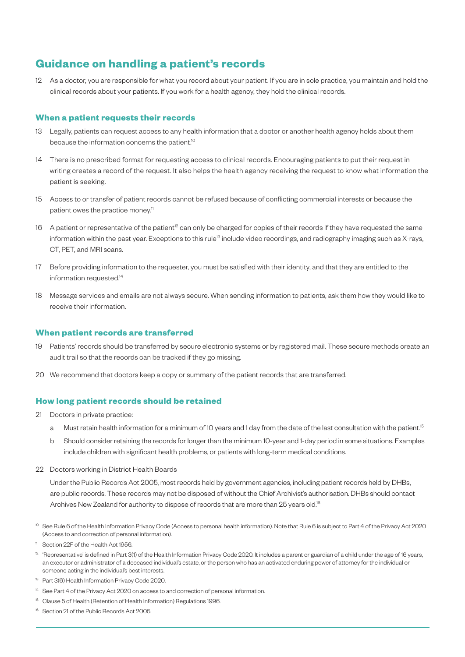## **Guidance on handling a patient's records**

12 As a doctor, you are responsible for what you record about your patient. If you are in sole practice, you maintain and hold the clinical records about your patients. If you work for a health agency, they hold the clinical records.

## **When a patient requests their records**

- 13 Legally, patients can request access to any health information that a doctor or another health agency holds about them because the information concerns the patient.<sup>10</sup>
- 14 There is no prescribed format for requesting access to clinical records. Encouraging patients to put their request in writing creates a record of the request. It also helps the health agency receiving the request to know what information the patient is seeking.
- 15 Access to or transfer of patient records cannot be refused because of conflicting commercial interests or because the patient owes the practice money.<sup>11</sup>
- 16 A patient or representative of the patient<sup>12</sup> can only be charged for copies of their records if they have requested the same information within the past year. Exceptions to this rule<sup>13</sup> include video recordings, and radiography imaging such as X-rays, CT, PET, and MRI scans.
- 17 Before providing information to the requester, you must be satisfied with their identity, and that they are entitled to the information requested.<sup>14</sup>
- 18 Message services and emails are not always secure. When sending information to patients, ask them how they would like to receive their information.

#### **When patient records are transferred**

- 19 Patients' records should be transferred by secure electronic systems or by registered mail. These secure methods create an audit trail so that the records can be tracked if they go missing.
- 20 We recommend that doctors keep a copy or summary of the patient records that are transferred.

### **How long patient records should be retained**

- 21 Doctors in private practice:
	- a Must retain health information for a minimum of 10 years and 1 day from the date of the last consultation with the patient.<sup>15</sup>
	- b Should consider retaining the records for longer than the minimum 10-year and 1-day period in some situations. Examples include children with significant health problems, or patients with long-term medical conditions.
- 22 Doctors working in District Health Boards

Under the Public Records Act 2005, most records held by government agencies, including patient records held by DHBs, are public records. These records may not be disposed of without the Chief Archivist's authorisation. DHBs should contact Archives New Zealand for authority to dispose of records that are more than 25 years old.<sup>16</sup>

- <sup>10</sup> See Rule 6 of the Health Information Privacy Code (Access to personal health information). Note that Rule 6 is subject to Part 4 of the Privacy Act 2020 (Access to and correction of personal information).
- <sup>11</sup> Section 22F of the Health Act 1956.
- $12$  'Representative' is defined in Part 3(1) of the Health Information Privacy Code 2020. It includes a parent or guardian of a child under the age of 16 years, an executor or administrator of a deceased individual's estate, or the person who has an activated enduring power of attorney for the individual or someone acting in the individual's best interests.
- <sup>13</sup> Part 3(6) Health Information Privacy Code 2020.
- <sup>14</sup> See Part 4 of the Privacy Act 2020 on access to and correction of personal information.
- <sup>15</sup> Clause 5 of Health (Retention of Health Information) Regulations 1996.
- <sup>16</sup> Section 21 of the Public Records Act 2005.